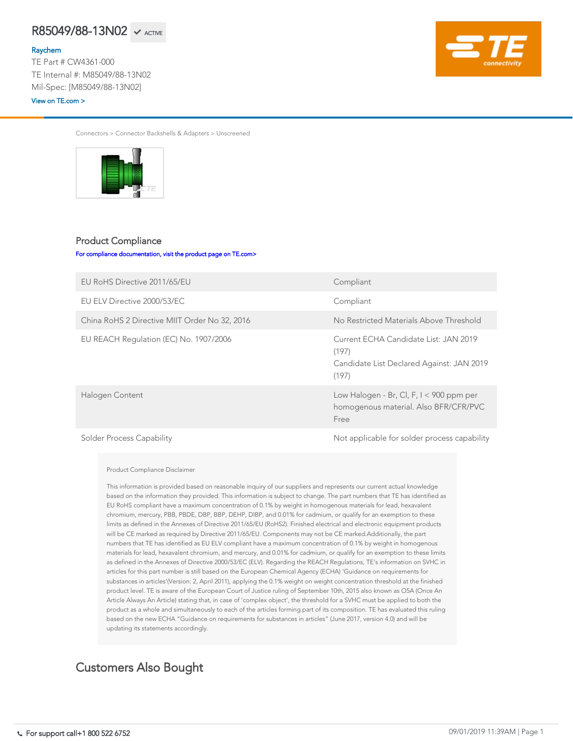Connectors > Connector Backshells & Adapters > Unscreened



# Product Compliance

[For compliance documentation, visit the product page on TE.com>](https://www.te.com/usa-en/product-CW4361-000.html)

| EU RoHS Directive 2011/65/EU                  | Compliant                                                                                                            |
|-----------------------------------------------|----------------------------------------------------------------------------------------------------------------------|
| EU ELV Directive 2000/53/EC                   | Compliant                                                                                                            |
| China RoHS 2 Directive MIIT Order No 32, 2016 | No Restricted Materials Above Threshold                                                                              |
| EU REACH Regulation (EC) No. 1907/2006        | Current ECHA Candidate List: JAN 2019<br>(197)<br>Candidate List Declared Against: JAN 2019<br>(197)                 |
| Halogen Content                               | Low Halogen - Br, Cl, F, $I < 900$ ppm per<br>homogenous material. Also BFR/CFR/PVC<br>$\Gamma$ is a set of $\Gamma$ |

#### Free

### Solder Process Capability and Solder Process capability and Solder process capability

### Product Compliance Disclaimer

This information is provided based on reasonable inquiry of our suppliers and represents our current actual knowledge based on the information they provided. This information is subject to change. The part numbers that TE has identified as EU RoHS compliant have a maximum concentration of 0.1% by weight in homogenous materials for lead, hexavalent chromium, mercury, PBB, PBDE, DBP, BBP, DEHP, DIBP, and 0.01% for cadmium, or qualify for an exemption to these limits as defined in the Annexes of Directive 2011/65/EU (RoHS2). Finished electrical and electronic equipment products will be CE marked as required by Directive 2011/65/EU. Components may not be CE marked.Additionally, the part numbers that TE has identified as EU ELV compliant have a maximum concentration of 0.1% by weight in homogenous materials for lead, hexavalent chromium, and mercury, and 0.01% for cadmium, or qualify for an exemption to these limits as defined in the Annexes of Directive 2000/53/EC (ELV). Regarding the REACH Regulations, TE's information on SVHC in articles for this part number is still based on the European Chemical Agency (ECHA) 'Guidance on requirements for substances in articles'(Version: 2, April 2011), applying the 0.1% weight on weight concentration threshold at the finished product level. TE is aware of the European Court of Justice ruling of September 10th, 2015 also known as O5A (Once An Article Always An Article) stating that, in case of 'complex object', the threshold for a SVHC must be applied to both the product as a whole and simultaneously to each of the articles forming part of its composition. TE has evaluated this ruling based on the new ECHA "Guidance on requirements for substances in articles" (June 2017, version 4.0) and will be updating its statements accordingly.

# Customers Also Bought

### R85049/88-13N02  $R85049/88-13N02 \times \text{AGTIVE}$

### [Raychem](https://www.te.com/usa-en/plp/ZnE3.html)

TE Part # CW4361-000 TE Internal #: M85049/88-13N02 Mil-Spec: [M85049/88-13N02]

### [View on TE.com >](https://www.te.com/usa-en/product-CW4361-000.html)

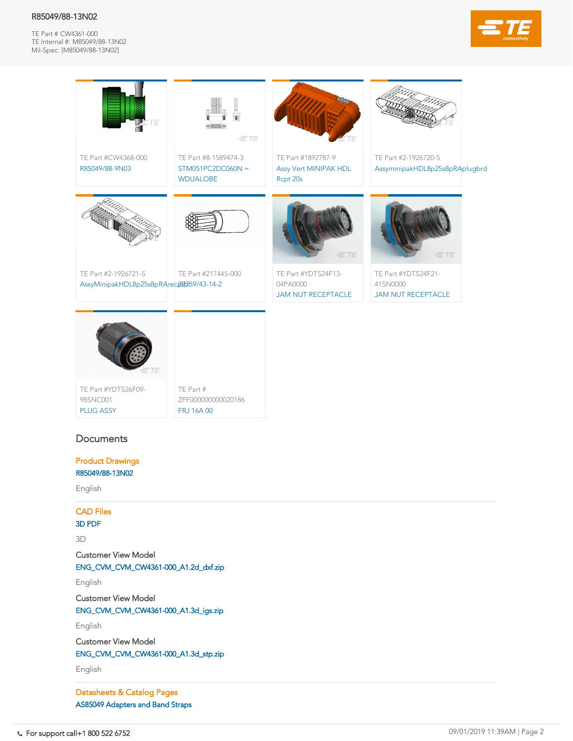### R85049/88-13N02

TE Part # CW4361-000 TE Internal #: M85049/88-13N02 Mil-Spec: [M85049/88-13N02]



TE Part # ZPF000000000020186 [FRJ 16A 00](https://www.te.com/usa-en/product-ZPF000000000020186.html)

# **Documents**

TE Part #YDTS26F09- 98SNC001 [PLUG ASSY](https://www.te.com/usa-en/product-YDTS26F09-98SNC001.html)



Product Drawings

[R85049/88-13N02](https://www.te.com/commerce/DocumentDelivery/DDEController?Action=showdoc&DocId=Customer+Drawing%7FR85049%2F88%7FE%7Fpdf%7FEnglish%7FENG_CD_R85049X88_E.pdf%7FCW4361-000)

English

CAD Files [3D PDF](https://www.te.com/commerce/DocumentDelivery/DDEController?Action=showdoc&DocId=Customer+View+Model%7FCVM_CW4361-000%7FA1%7Fpdf%7F3D%7F3D_CVM_CVM_CW4361-000_A1.pdf%7FCW4361-000)

3D

Customer View Model [ENG\\_CVM\\_CVM\\_CW4361-000\\_A1.2d\\_dxf.zip](https://www.te.com/commerce/DocumentDelivery/DDEController?Action=showdoc&DocId=Customer+View+Model%7FCVM_CW4361-000%7FA1%7F2d_dxf.zip%7FEnglish%7FENG_CVM_CVM_CW4361-000_A1.2d_dxf.zip%7FCW4361-000)

English

Customer View Model [ENG\\_CVM\\_CVM\\_CW4361-000\\_A1.3d\\_igs.zip](https://www.te.com/commerce/DocumentDelivery/DDEController?Action=showdoc&DocId=Customer+View+Model%7FCVM_CW4361-000%7FA1%7F3d_igs.zip%7FEnglish%7FENG_CVM_CVM_CW4361-000_A1.3d_igs.zip%7FCW4361-000)

English

Customer View Model

[ENG\\_CVM\\_CVM\\_CW4361-000\\_A1.3d\\_stp.zip](https://www.te.com/commerce/DocumentDelivery/DDEController?Action=showdoc&DocId=Customer+View+Model%7FCVM_CW4361-000%7FA1%7F3d_stp.zip%7FEnglish%7FENG_CVM_CVM_CW4361-000_A1.3d_stp.zip%7FCW4361-000)

English

Datasheets & Catalog Pages [AS85049 Adapters and Band Straps](https://www.te.com/commerce/DocumentDelivery/DDEController?Action=showdoc&DocId=Data+Sheet%7F1-1773720-2_bandstraps%7F1214%7Fpdf%7FEnglish%7FENG_DS_1-1773720-2_bandstraps_1214.pdf%7FCW4361-000)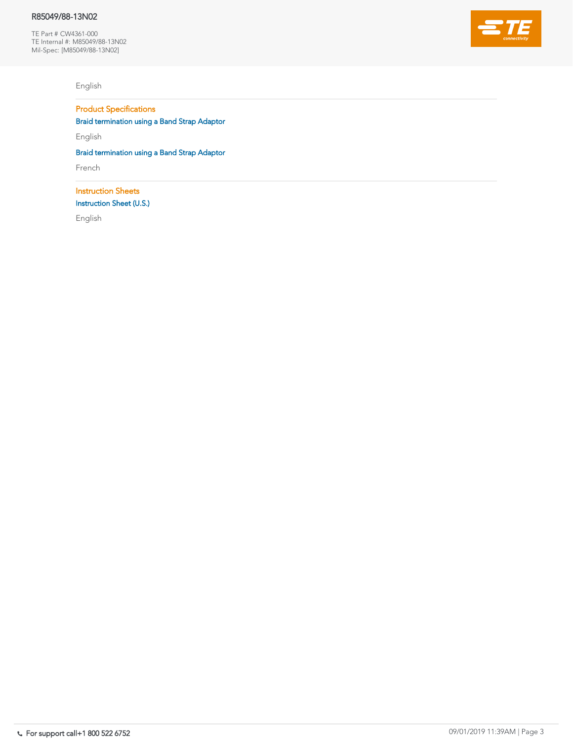### R85049/88-13N02

TE Part # CW4361-000 TE Internal #: M85049/88-13N02 Mil-Spec: [M85049/88-13N02]



Product Specifications [Braid termination using a Band Strap Adaptor](https://www.te.com/commerce/DocumentDelivery/DDEController?Action=showdoc&DocId=Specification+Or+Standard%7FELE-3COP-375%7F4%7Fpdf%7FEnglish%7FENG_SS_ELE-3COP-375_4.pdf%7FCW4361-000) English [Braid termination using a Band Strap Adaptor](https://www.te.com/commerce/DocumentDelivery/DDEController?Action=showdoc&DocId=Specification+Or+Standard%7FELE-3COP-375%7F4%7Fpdf%7FFrench%7FFRE_SS_ELE-3COP-375_4.pdf%7FCW4361-000) French **Instruction Sheets** [Instruction Sheet \(U.S.\)](https://www.te.com/commerce/DocumentDelivery/DDEController?Action=showdoc&DocId=Specification+Or+Standard%7FTUS-41-3038%7FA%7Fpdf%7FEnglish%7FENG_SS_TUS-41-3038_A_tus_41_3038_a.pdf%7FCW4361-000)

# English

English